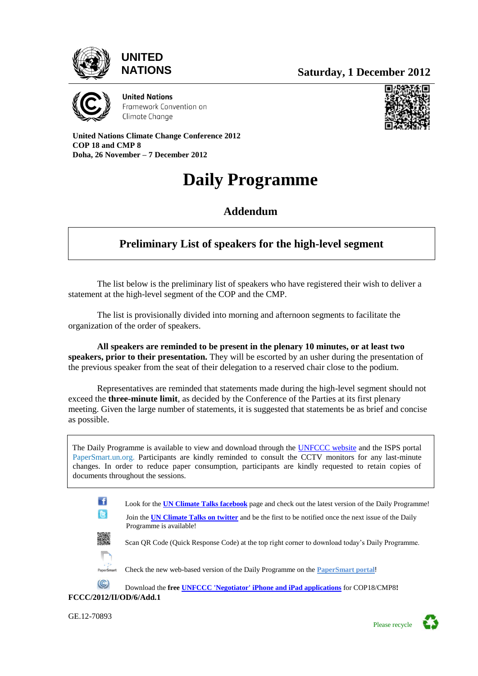

# **UNITED**



**United Nations** Framework Convention on Climate Change

**United Nations Climate Change Conference 2012 COP 18 and CMP 8 Doha, 26 November – 7 December 2012**

# **Daily Programme**

**Addendum**

# **Preliminary List of speakers for the high-level segment**

The list below is the preliminary list of speakers who have registered their wish to deliver a statement at the high-level segment of the COP and the CMP.

The list is provisionally divided into morning and afternoon segments to facilitate the organization of the order of speakers.

**All speakers are reminded to be present in the plenary 10 minutes, or at least two speakers, prior to their presentation.** They will be escorted by an usher during the presentation of the previous speaker from the seat of their delegation to a reserved chair close to the podium.

Representatives are reminded that statements made during the high-level segment should not exceed the **three-minute limit**, as decided by the Conference of the Parties at its first plenary meeting. Given the large number of statements, it is suggested that statements be as brief and concise as possible.

 The Daily Programme is available to view and download through the [UNFCCC website](http://unfccc.int/meetings/doha_nov_2012/meeting/6815/php/view/dailyprogramme.php) and the ISPS portal [PaperSmart.un.org.](https://www3.unog.ch/dohaclimatechange/content/doha-conference-portal?qt-conference=1#qt-conference) Participants are kindly reminded to consult the CCTV monitors for any last-minute changes. In order to reduce paper consumption, participants are kindly requested to retain copies of documents throughout the sessions.



GE.12-70893

Please recycle

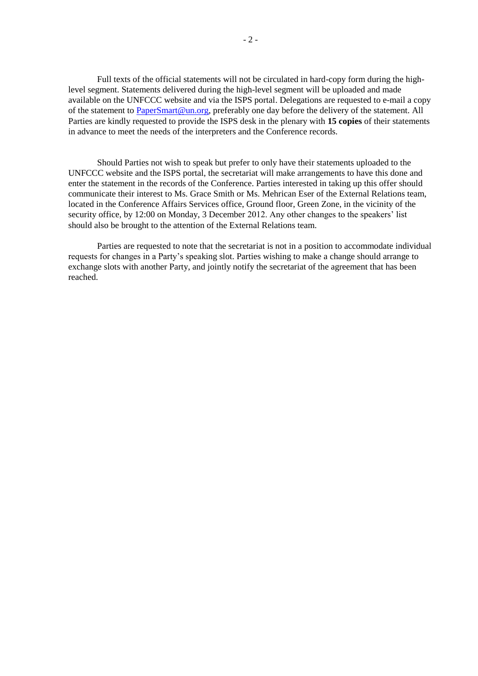Full texts of the official statements will not be circulated in hard-copy form during the highlevel segment. Statements delivered during the high-level segment will be uploaded and made available on the UNFCCC website and via the ISPS portal. Delegations are requested to e-mail a copy of the statement to [PaperSmart@un.org,](mailto:PaperSmart@un.org) preferably one day before the delivery of the statement. All Parties are kindly requested to provide the ISPS desk in the plenary with **15 copies** of their statements in advance to meet the needs of the interpreters and the Conference records.

Should Parties not wish to speak but prefer to only have their statements uploaded to the UNFCCC website and the ISPS portal, the secretariat will make arrangements to have this done and enter the statement in the records of the Conference. Parties interested in taking up this offer should communicate their interest to Ms. Grace Smith or Ms. Mehrican Eser of the External Relations team, located in the Conference Affairs Services office, Ground floor, Green Zone, in the vicinity of the security office, by 12:00 on Monday, 3 December 2012. Any other changes to the speakers' list should also be brought to the attention of the External Relations team.

Parties are requested to note that the secretariat is not in a position to accommodate individual requests for changes in a Party's speaking slot. Parties wishing to make a change should arrange to exchange slots with another Party, and jointly notify the secretariat of the agreement that has been reached.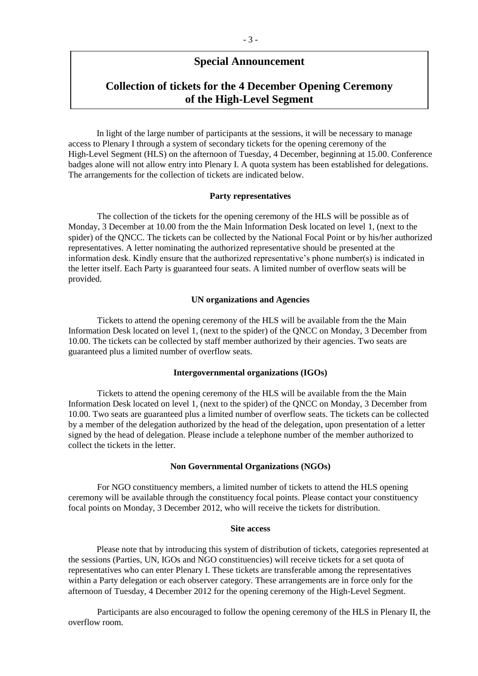### **Special Announcement**

## **Collection of tickets for the 4 December Opening Ceremony of the High-Level Segment**

In light of the large number of participants at the sessions, it will be necessary to manage access to Plenary I through a system of secondary tickets for the opening ceremony of the High-Level Segment (HLS) on the afternoon of Tuesday, 4 December, beginning at 15.00. Conference badges alone will not allow entry into Plenary I. A quota system has been established for delegations. The arrangements for the collection of tickets are indicated below.

#### **Party representatives**

The collection of the tickets for the opening ceremony of the HLS will be possible as of Monday, 3 December at 10.00 from the the Main Information Desk located on level 1, (next to the spider) of the QNCC. The tickets can be collected by the National Focal Point or by his/her authorized representatives. A letter nominating the authorized representative should be presented at the information desk. Kindly ensure that the authorized representative's phone number(s) is indicated in the letter itself. Each Party is guaranteed four seats. A limited number of overflow seats will be provided.

#### **UN organizations and Agencies**

Tickets to attend the opening ceremony of the HLS will be available from the the Main Information Desk located on level 1, (next to the spider) of the QNCC on Monday, 3 December from 10.00. The tickets can be collected by staff member authorized by their agencies. Two seats are guaranteed plus a limited number of overflow seats.

#### **Intergovernmental organizations (IGOs)**

Tickets to attend the opening ceremony of the HLS will be available from the the Main Information Desk located on level 1, (next to the spider) of the QNCC on Monday, 3 December from 10.00. Two seats are guaranteed plus a limited number of overflow seats. The tickets can be collected by a member of the delegation authorized by the head of the delegation, upon presentation of a letter signed by the head of delegation. Please include a telephone number of the member authorized to collect the tickets in the letter.

#### **Non Governmental Organizations (NGOs)**

For NGO constituency members, a limited number of tickets to attend the HLS opening ceremony will be available through the constituency focal points. Please contact your constituency focal points on Monday, 3 December 2012, who will receive the tickets for distribution.

#### **Site access**

Please note that by introducing this system of distribution of tickets, categories represented at the sessions (Parties, UN, IGOs and NGO constituencies) will receive tickets for a set quota of representatives who can enter Plenary I. These tickets are transferable among the representatives within a Party delegation or each observer category. These arrangements are in force only for the afternoon of Tuesday, 4 December 2012 for the opening ceremony of the High-Level Segment.

Participants are also encouraged to follow the opening ceremony of the HLS in Plenary II, the overflow room.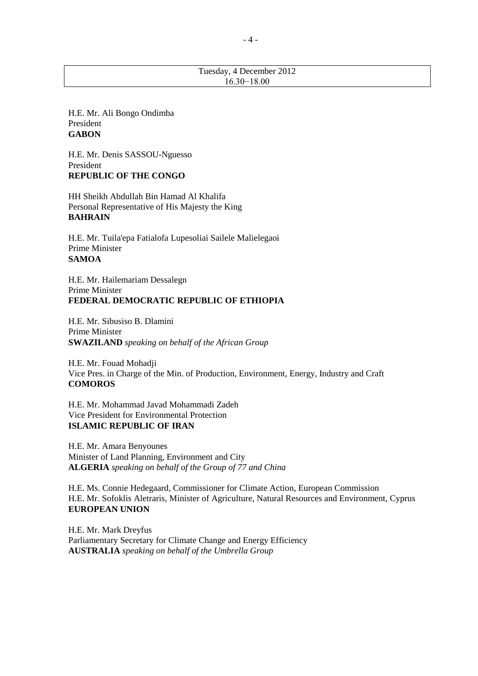#### Tuesday, 4 December 2012 16.30−18.00

H.E. Mr. Ali Bongo Ondimba President **GABON**

H.E. Mr. Denis SASSOU-Nguesso President **REPUBLIC OF THE CONGO**

HH Sheikh Abdullah Bin Hamad Al Khalifa Personal Representative of His Majesty the King **BAHRAIN**

H.E. Mr. Tuila'epa Fatialofa Lupesoliai Sailele Malielegaoi Prime Minister **SAMOA** 

H.E. Mr. Hailemariam Dessalegn Prime Minister **FEDERAL DEMOCRATIC REPUBLIC OF ETHIOPIA**

H.E. Mr. Sibusiso B. Dlamini Prime Minister **SWAZILAND** *speaking on behalf of the African Group*

H.E. Mr. Fouad Mohadji Vice Pres. in Charge of the Min. of Production, Environment, Energy, Industry and Craft **COMOROS**

H.E. Mr. Mohammad Javad Mohammadi Zadeh Vice President for Environmental Protection **ISLAMIC REPUBLIC OF IRAN** 

H.E. Mr. Amara Benyounes Minister of Land Planning, Environment and City **ALGERIA** *speaking on behalf of the Group of 77 and China*

H.E. Ms. Connie Hedegaard, Commissioner for Climate Action, European Commission H.E. Mr. Sofoklis Aletraris, Minister of Agriculture, Natural Resources and Environment, Cyprus **EUROPEAN UNION**

H.E. Mr. Mark Dreyfus Parliamentary Secretary for Climate Change and Energy Efficiency **AUSTRALIA** *speaking on behalf of the Umbrella Group*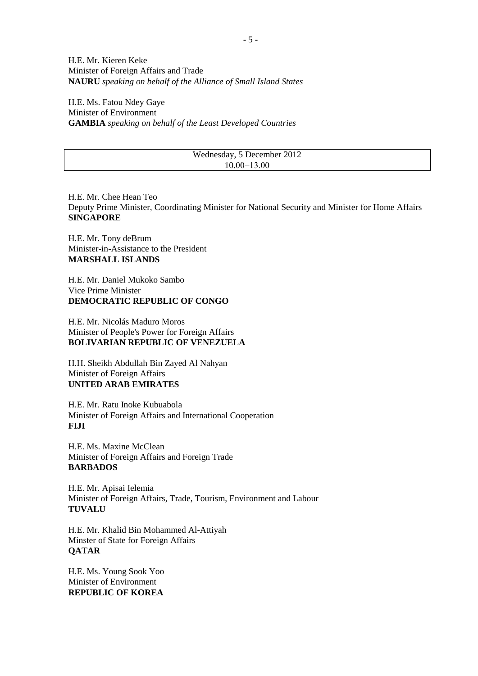H.E. Mr. Kieren Keke Minister of Foreign Affairs and Trade **NAURU** *speaking on behalf of the Alliance of Small Island States*

H.E. Ms. Fatou Ndey Gaye Minister of Environment **GAMBIA** *speaking on behalf of the Least Developed Countries*

#### Wednesday, 5 December 2012 10.00−13.00

H.E. Mr. Chee Hean Teo Deputy Prime Minister, Coordinating Minister for National Security and Minister for Home Affairs **SINGAPORE**

H.E. Mr. Tony deBrum Minister-in-Assistance to the President **MARSHALL ISLANDS** 

H.E. Mr. Daniel Mukoko Sambo Vice Prime Minister **DEMOCRATIC REPUBLIC OF CONGO**

H.E. Mr. Nicolás Maduro Moros Minister of People's Power for Foreign Affairs **BOLIVARIAN REPUBLIC OF VENEZUELA**

H.H. Sheikh Abdullah Bin Zayed Al Nahyan Minister of Foreign Affairs **UNITED ARAB EMIRATES**

H.E. Mr. Ratu Inoke Kubuabola Minister of Foreign Affairs and International Cooperation **FIJI**

H.E. Ms. Maxine McClean Minister of Foreign Affairs and Foreign Trade **BARBADOS**

H.E. Mr. Apisai Ielemia Minister of Foreign Affairs, Trade, Tourism, Environment and Labour **TUVALU**

H.E. Mr. Khalid Bin Mohammed Al-Attiyah Minster of State for Foreign Affairs **QATAR**

H.E. Ms. Young Sook Yoo Minister of Environment **REPUBLIC OF KOREA**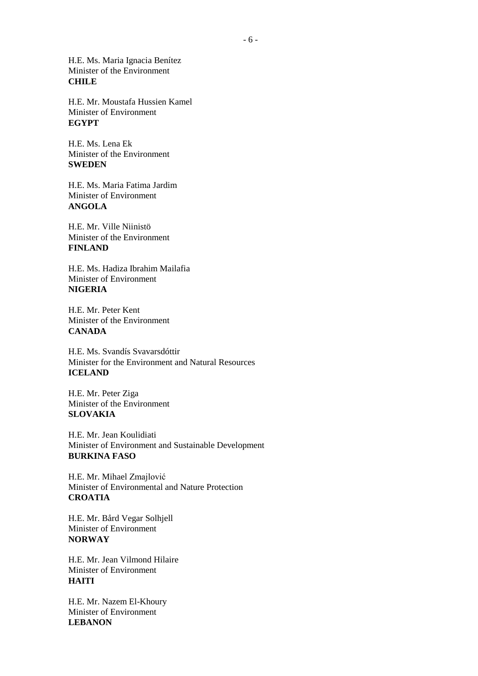H.E. Ms. Maria Ignacia Benítez Minister of the Environment **CHILE**

H.E. Mr. Moustafa Hussien Kamel Minister of Environment **EGYPT**

H.E. Ms. Lena Ek Minister of the Environment **SWEDEN**

H.E. Ms. Maria Fatima Jardim Minister of Environment **ANGOLA**

H.E. Mr. Ville Niinistö Minister of the Environment **FINLAND**

H.E. Ms. Hadiza Ibrahim Mailafia Minister of Environment **NIGERIA**

H.E. Mr. Peter Kent Minister of the Environment **CANADA**

H.E. Ms. Svandís Svavarsdóttir Minister for the Environment and Natural Resources **ICELAND**

H.E. Mr. Peter Ziga Minister of the Environment **SLOVAKIA**

H.E. Mr. Jean Koulidiati Minister of Environment and Sustainable Development **BURKINA FASO**

H.E. Mr. Mihael Zmajlović Minister of Environmental and Nature Protection **CROATIA**

H.E. Mr. Bård Vegar Solhjell Minister of Environment **NORWAY**

H.E. Mr. Jean Vilmond Hilaire Minister of Environment **HAITI**

H.E. Mr. Nazem El-Khoury Minister of Environment **LEBANON**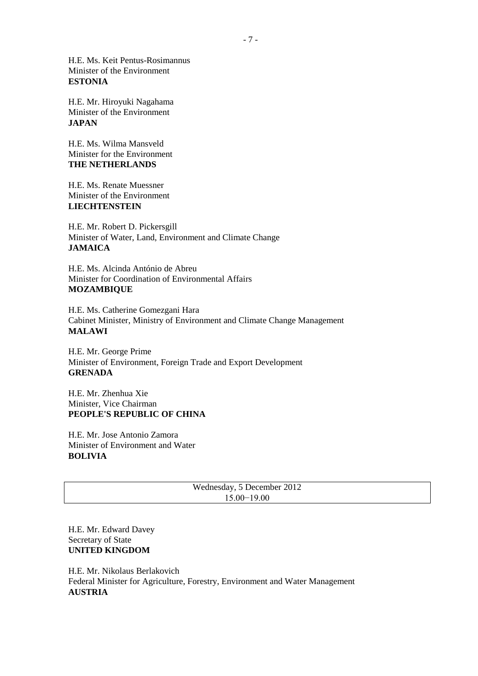H.E. Ms. Keit Pentus-Rosimannus Minister of the Environment **ESTONIA**

H.E. Mr. Hiroyuki Nagahama Minister of the Environment **JAPAN** 

H.E. Ms. Wilma Mansveld Minister for the Environment **THE NETHERLANDS** 

H.E. Ms. Renate Muessner Minister of the Environment **LIECHTENSTEIN** 

H.E. Mr. Robert D. Pickersgill Minister of Water, Land, Environment and Climate Change **JAMAICA**

H.E. Ms. Alcinda António de Abreu Minister for Coordination of Environmental Affairs **MOZAMBIQUE**

H.E. Ms. Catherine Gomezgani Hara Cabinet Minister, Ministry of Environment and Climate Change Management **MALAWI**

H.E. Mr. George Prime Minister of Environment, Foreign Trade and Export Development **GRENADA**

H.E. Mr. Zhenhua Xie Minister, Vice Chairman **PEOPLE'S REPUBLIC OF CHINA** 

H.E. Mr. Jose Antonio Zamora Minister of Environment and Water **BOLIVIA**

| Wednesday, 5 December 2012 |  |
|----------------------------|--|
| $15.00 - 19.00$            |  |

H.E. Mr. Edward Davey Secretary of State **UNITED KINGDOM**

H.E. Mr. Nikolaus Berlakovich Federal Minister for Agriculture, Forestry, Environment and Water Management **AUSTRIA**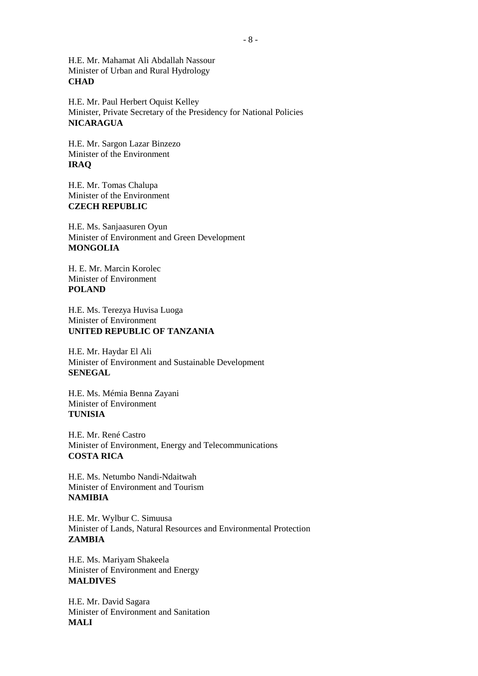H.E. Mr. Mahamat Ali Abdallah Nassour Minister of Urban and Rural Hydrology **CHAD**

H.E. Mr. Paul Herbert Oquist Kelley Minister, Private Secretary of the Presidency for National Policies **NICARAGUA** 

H.E. Mr. Sargon Lazar Binzezo Minister of the Environment **IRAQ** 

H.E. Mr. Tomas Chalupa Minister of the Environment **CZECH REPUBLIC** 

H.E. Ms. Sanjaasuren Oyun Minister of Environment and Green Development **MONGOLIA**

H. E. Mr. Marcin Korolec Minister of Environment **POLAND**

H.E. Ms. Terezya Huvisa Luoga Minister of Environment **UNITED REPUBLIC OF TANZANIA** 

H.E. Mr. Haydar El Ali Minister of Environment and Sustainable Development **SENEGAL** 

H.E. Ms. Mémia Benna Zayani Minister of Environment **TUNISIA** 

H.E. Mr. René Castro Minister of Environment, Energy and Telecommunications **COSTA RICA**

H.E. Ms. Netumbo Nandi-Ndaitwah Minister of Environment and Tourism **NAMIBIA** 

H.E. Mr. Wylbur C. Simuusa Minister of Lands, Natural Resources and Environmental Protection **ZAMBIA** 

H.E. Ms. Mariyam Shakeela Minister of Environment and Energy **MALDIVES** 

H.E. Mr. David Sagara Minister of Environment and Sanitation **MALI**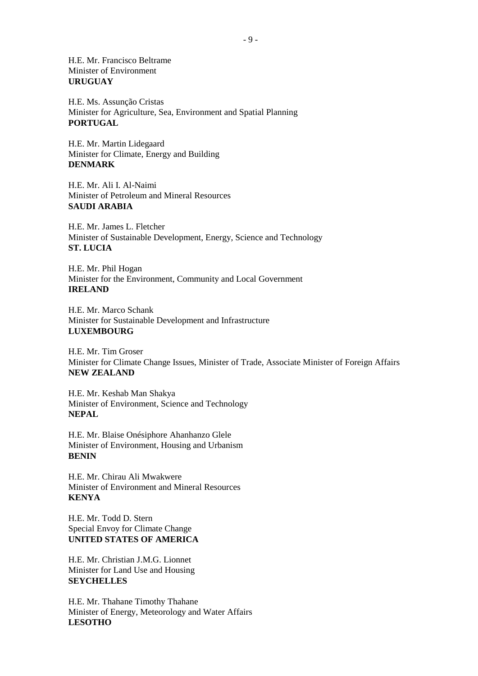H.E. Mr. Francisco Beltrame Minister of Environment **URUGUAY** 

H.E. Ms. Assunção Cristas Minister for Agriculture, Sea, Environment and Spatial Planning **PORTUGAL** 

H.E. Mr. Martin Lidegaard Minister for Climate, Energy and Building **DENMARK** 

H.E. Mr. Ali I. Al-Naimi Minister of Petroleum and Mineral Resources **SAUDI ARABIA** 

H.E. Mr. James L. Fletcher Minister of Sustainable Development, Energy, Science and Technology **ST. LUCIA** 

H.E. Mr. Phil Hogan Minister for the Environment, Community and Local Government **IRELAND** 

H.E. Mr. Marco Schank Minister for Sustainable Development and Infrastructure **LUXEMBOURG** 

H.E. Mr. Tim Groser Minister for Climate Change Issues, Minister of Trade, Associate Minister of Foreign Affairs **NEW ZEALAND** 

H.E. Mr. Keshab Man Shakya Minister of Environment, Science and Technology **NEPAL** 

H.E. Mr. Blaise Onésiphore Ahanhanzo Glele Minister of Environment, Housing and Urbanism **BENIN** 

H.E. Mr. Chirau Ali Mwakwere Minister of Environment and Mineral Resources **KENYA** 

H.E. Mr. Todd D. Stern Special Envoy for Climate Change **UNITED STATES OF AMERICA** 

H.E. Mr. Christian J.M.G. Lionnet Minister for Land Use and Housing **SEYCHELLES** 

H.E. Mr. Thahane Timothy Thahane Minister of Energy, Meteorology and Water Affairs **LESOTHO**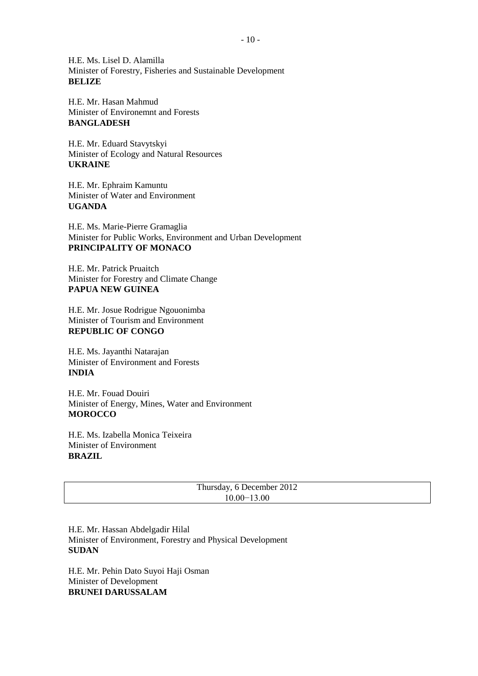H.E. Ms. Lisel D. Alamilla Minister of Forestry, Fisheries and Sustainable Development **BELIZE** 

H.E. Mr. Hasan Mahmud Minister of Environemnt and Forests **BANGLADESH** 

H.E. Mr. Eduard Stavytskyi Minister of Ecology and Natural Resources **UKRAINE** 

H.E. Mr. Ephraim Kamuntu Minister of Water and Environment **UGANDA** 

H.E. Ms. Marie-Pierre Gramaglia Minister for Public Works, Environment and Urban Development **PRINCIPALITY OF MONACO**

H.E. Mr. Patrick Pruaitch Minister for Forestry and Climate Change **PAPUA NEW GUINEA** 

H.E. Mr. Josue Rodrigue Ngouonimba Minister of Tourism and Environment **REPUBLIC OF CONGO**

H.E. Ms. Jayanthi Natarajan Minister of Environment and Forests **INDIA**

H.E. Mr. Fouad Douiri Minister of Energy, Mines, Water and Environment **MOROCCO** 

H.E. Ms. Izabella Monica Teixeira Minister of Environment **BRAZIL**

| Thursday, 6 December 2012 |  |
|---------------------------|--|
| 10.00–13.00               |  |

H.E. Mr. Hassan Abdelgadir Hilal Minister of Environment, Forestry and Physical Development **SUDAN** 

H.E. Mr. Pehin Dato Suyoi Haji Osman Minister of Development **BRUNEI DARUSSALAM**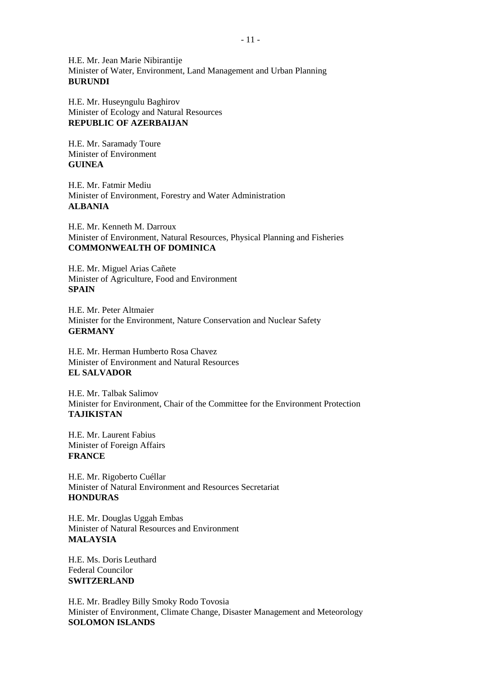H.E. Mr. Jean Marie Nibirantije Minister of Water, Environment, Land Management and Urban Planning **BURUNDI** 

H.E. Mr. Huseyngulu Baghirov Minister of Ecology and Natural Resources **REPUBLIC OF AZERBAIJAN** 

H.E. Mr. Saramady Toure Minister of Environment **GUINEA** 

H.E. Mr. Fatmir Mediu Minister of Environment, Forestry and Water Administration **ALBANIA**

H.E. Mr. Kenneth M. Darroux Minister of Environment, Natural Resources, Physical Planning and Fisheries **COMMONWEALTH OF DOMINICA** 

H.E. Mr. Miguel Arias Cañete Minister of Agriculture, Food and Environment **SPAIN** 

H.E. Mr. Peter Altmaier Minister for the Environment, Nature Conservation and Nuclear Safety **GERMANY** 

H.E. Mr. Herman Humberto Rosa Chavez Minister of Environment and Natural Resources **EL SALVADOR** 

H.E. Mr. Talbak Salimov Minister for Environment, Chair of the Committee for the Environment Protection **TAJIKISTAN** 

H.E. Mr. Laurent Fabius Minister of Foreign Affairs **FRANCE**

H.E. Mr. Rigoberto Cuéllar Minister of Natural Environment and Resources Secretariat **HONDURAS** 

H.E. Mr. Douglas Uggah Embas Minister of Natural Resources and Environment **MALAYSIA** 

H.E. Ms. Doris Leuthard Federal Councilor **SWITZERLAND** 

H.E. Mr. Bradley Billy Smoky Rodo Tovosia Minister of Environment, Climate Change, Disaster Management and Meteorology **SOLOMON ISLANDS**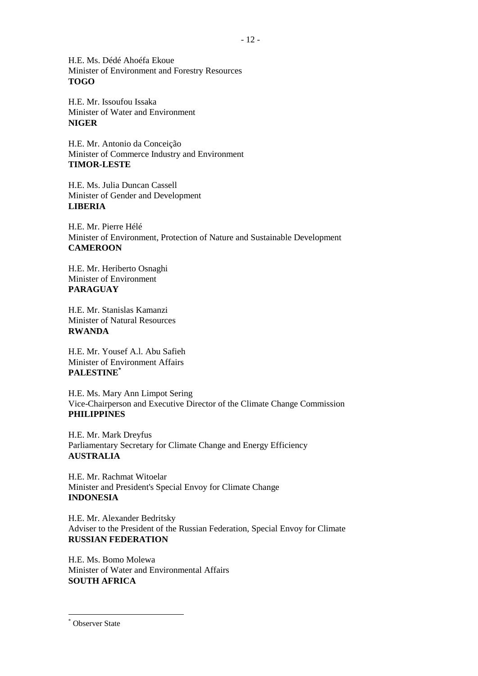H.E. Ms. Dédé Ahoéfa Ekoue Minister of Environment and Forestry Resources **TOGO**

H.E. Mr. Issoufou Issaka Minister of Water and Environment **NIGER** 

H.E. Mr. Antonio da Conceição Minister of Commerce Industry and Environment **TIMOR-LESTE** 

H.E. Ms. Julia Duncan Cassell Minister of Gender and Development **LIBERIA** 

H.E. Mr. Pierre Hélé Minister of Environment, Protection of Nature and Sustainable Development **CAMEROON**

H.E. Mr. Heriberto Osnaghi Minister of Environment **PARAGUAY**

H.E. Mr. Stanislas Kamanzi Minister of Natural Resources **RWANDA** 

H.E. Mr. Yousef A.l. Abu Safieh Minister of Environment Affairs **PALESTINE\***

H.E. Ms. Mary Ann Limpot Sering Vice-Chairperson and Executive Director of the Climate Change Commission **PHILIPPINES** 

H.E. Mr. Mark Dreyfus Parliamentary Secretary for Climate Change and Energy Efficiency **AUSTRALIA**

H.E. Mr. Rachmat Witoelar Minister and President's Special Envoy for Climate Change **INDONESIA** 

H.E. Mr. Alexander Bedritsky Adviser to the President of the Russian Federation, Special Envoy for Climate **RUSSIAN FEDERATION** 

H.E. Ms. Bomo Molewa Minister of Water and Environmental Affairs **SOUTH AFRICA**

-

<sup>&</sup>lt;sup>\*</sup> Observer State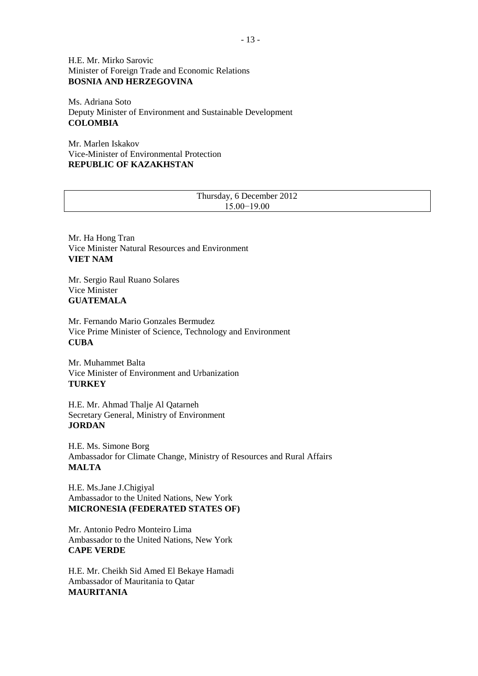H.E. Mr. Mirko Sarovic Minister of Foreign Trade and Economic Relations **BOSNIA AND HERZEGOVINA**

Ms. Adriana Soto Deputy Minister of Environment and Sustainable Development **COLOMBIA** 

Mr. Marlen Iskakov Vice-Minister of Environmental Protection **REPUBLIC OF KAZAKHSTAN** 

Thursday, 6 December 2012 15.00−19.00

Mr. Ha Hong Tran Vice Minister Natural Resources and Environment **VIET NAM** 

Mr. Sergio Raul Ruano Solares Vice Minister **GUATEMALA** 

Mr. Fernando Mario Gonzales Bermudez Vice Prime Minister of Science, Technology and Environment **CUBA** 

Mr. Muhammet Balta Vice Minister of Environment and Urbanization **TURKEY**

H.E. Mr. Ahmad Thalje Al Qatarneh Secretary General, Ministry of Environment **JORDAN** 

H.E. Ms. Simone Borg Ambassador for Climate Change, Ministry of Resources and Rural Affairs **MALTA**

H.E. Ms.Jane J.Chigiyal Ambassador to the United Nations, New York **MICRONESIA (FEDERATED STATES OF)**

Mr. Antonio Pedro Monteiro Lima Ambassador to the United Nations, New York **CAPE VERDE**

H.E. Mr. Cheikh Sid Amed El Bekaye Hamadi Ambassador of Mauritania to Qatar **MAURITANIA**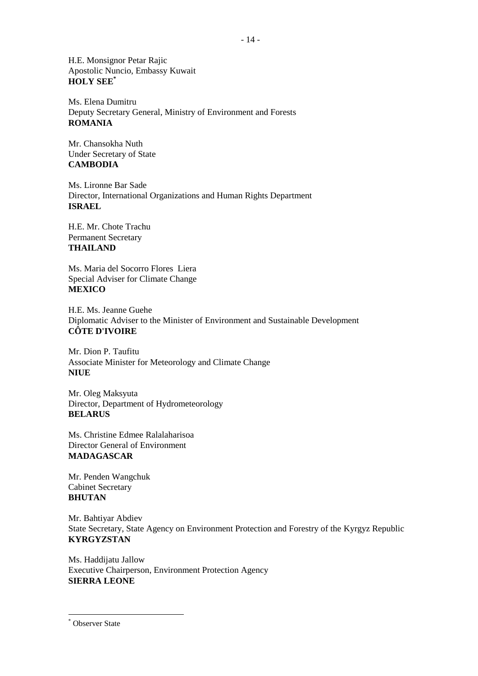H.E. Monsignor Petar Rajic Apostolic Nuncio, Embassy Kuwait **HOLY SEE\***

Ms. Elena Dumitru Deputy Secretary General, Ministry of Environment and Forests **ROMANIA**

Mr. Chansokha Nuth Under Secretary of State **CAMBODIA** 

Ms. Lironne Bar Sade Director, International Organizations and Human Rights Department **ISRAEL** 

H.E. Mr. Chote Trachu Permanent Secretary **THAILAND**

Ms. Maria del Socorro Flores Liera Special Adviser for Climate Change **MEXICO** 

H.E. Ms. Jeanne Guehe Diplomatic Adviser to the Minister of Environment and Sustainable Development **CÔTE D'IVOIRE**

Mr. Dion P. Taufitu Associate Minister for Meteorology and Climate Change **NIUE**

Mr. Oleg Maksyuta Director, Department of Hydrometeorology **BELARUS** 

Ms. Christine Edmee Ralalaharisoa Director General of Environment **MADAGASCAR** 

Mr. Penden Wangchuk Cabinet Secretary **BHUTAN** 

Mr. Bahtiyar Abdiev State Secretary, State Agency on Environment Protection and Forestry of the Kyrgyz Republic **KYRGYZSTAN**

Ms. Haddijatu Jallow Executive Chairperson, Environment Protection Agency **SIERRA LEONE** 

-

<sup>&</sup>lt;sup>\*</sup> Observer State